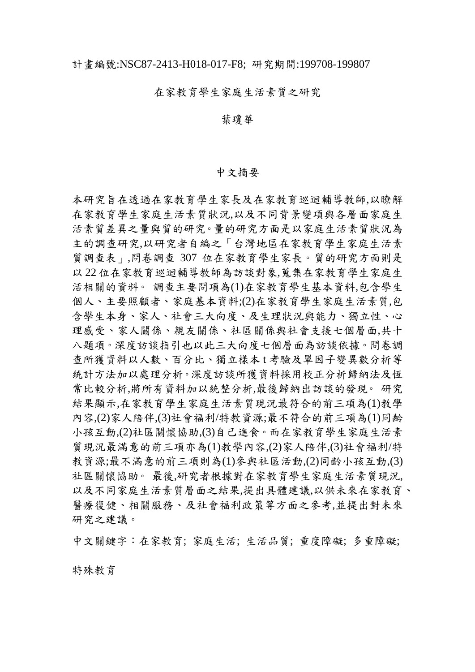## 在家教育學生家庭生活素質之研究

## 葉瓊華

## 中文摘要

本研究旨在透過在家教育學生家長及在家教育巡迴輔導教師,以瞭解 在家教育學生家庭生活素質狀況,以及不同背景變項與各層面家庭生 活素質差異之量與質的研究。量的研究方面是以家庭生活素質狀況為 主的調查研究,以研究者自編之「台灣地區在家教育學生家庭生活素 質調查表」,問卷調查 307 位在家教育學生家長。質的研究方面則是 以 22 位在家教育巡迴輔導教師為訪談對象,蒐集在家教育學生家庭生 活相關的資料。 調查主要問項為(1)在家教育學生基本資料,包含學生 個人、主要照顧者、家庭基本資料;(2)在家教育學生家庭生活素質,包 含學生本身、家人、社會三大向度、及生理狀況與能力、獨立性、心 理感受、家人關係、親友關係、社區關係與社會支援七個層面,共十 八題項。深度訪談指引也以此三大向度七個層面為訪談依據。問卷調 查所獲資料以人數、百分比、獨立樣本 t 考驗及單因子變異數分析等 統計方法加以處理分析。深度訪談所獲資料採用校正分析歸納法及恆 常比較分析,將所有資料加以統整分析,最後歸納出訪談的發現。 研究 結果顯示,在家教育學生家庭生活素質現況最符合的前三項為(1)教學 內容,(2)家人陪伴,(3)社會福利/特教資源;最不符合的前三項為(1)同齡 小孩互動,(2)社區關懷協助,(3)自己進食。而在家教育學生家庭生活素 質現況最滿意的前三項亦為(1)教學內容,(2)家人陪伴,(3)社會福利/特 教資源;最不滿意的前三項則為(1)參與社區活動,(2)同齡小孩互動,(3) 社區關懷協助。 最後,研究者根據對在家教育學生家庭生活素質現況, 以及不同家庭生活素質層面之結果,提出具體建議,以供未來在家教育、 醫療復健、相關服務、及社會福利政策等方面之參考,並提出對未來 研究之建議。

中文關鍵字:在家教育; 家庭生活; 生活品質; 重度障礙; 多重障礙;

特殊教育